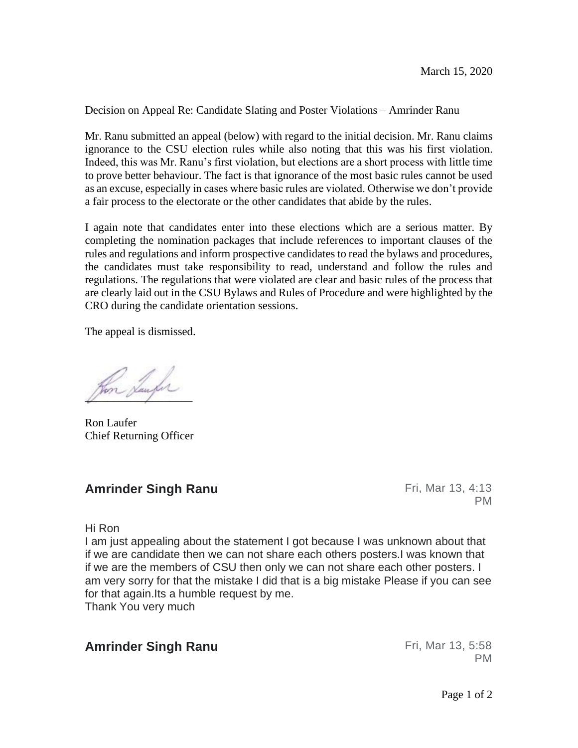Decision on Appeal Re: Candidate Slating and Poster Violations – Amrinder Ranu

Mr. Ranu submitted an appeal (below) with regard to the initial decision. Mr. Ranu claims ignorance to the CSU election rules while also noting that this was his first violation. Indeed, this was Mr. Ranu's first violation, but elections are a short process with little time to prove better behaviour. The fact is that ignorance of the most basic rules cannot be used as an excuse, especially in cases where basic rules are violated. Otherwise we don't provide a fair process to the electorate or the other candidates that abide by the rules.

I again note that candidates enter into these elections which are a serious matter. By completing the nomination packages that include references to important clauses of the rules and regulations and inform prospective candidates to read the bylaws and procedures, the candidates must take responsibility to read, understand and follow the rules and regulations. The regulations that were violated are clear and basic rules of the process that are clearly laid out in the CSU Bylaws and Rules of Procedure and were highlighted by the CRO during the candidate orientation sessions.

The appeal is dismissed.

Im Saufer

Ron Laufer Chief Returning Officer

## **Amrinder Singh Ranu Fri, Mar 13, 4:13**

PM

Hi Ron

I am just appealing about the statement I got because I was unknown about that if we are candidate then we can not share each others posters.I was known that if we are the members of CSU then only we can not share each other posters. I am very sorry for that the mistake I did that is a big mistake Please if you can see for that again.Its a humble request by me.

Thank You very much

## **Amrinder Singh Ranu Amrinder Singh Ranu Fri, Mar 13, 5:58**

PM